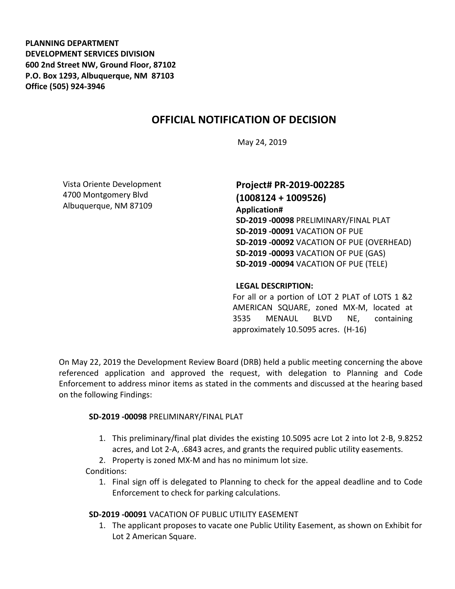**PLANNING DEPARTMENT DEVELOPMENT SERVICES DIVISION 600 2nd Street NW, Ground Floor, 87102 P.O. Box 1293, Albuquerque, NM 87103 Office (505) 924-3946** 

# **OFFICIAL NOTIFICATION OF DECISION**

May 24, 2019

Vista Oriente Development 4700 Montgomery Blvd Albuquerque, NM 87109

## **Project# PR-2019-002285 (1008124 + 1009526)**

**Application# SD-2019 -00098** PRELIMINARY/FINAL PLAT **SD-2019 -00091** VACATION OF PUE **SD-2019 -00092** VACATION OF PUE (OVERHEAD) **SD-2019 -00093** VACATION OF PUE (GAS) **SD-2019 -00094** VACATION OF PUE (TELE)

#### **LEGAL DESCRIPTION:**

For all or a portion of LOT 2 PLAT of LOTS 1 &2 AMERICAN SQUARE, zoned MX-M, located at 3535 MENAUL BLVD NE, containing approximately 10.5095 acres. (H-16)

On May 22, 2019 the Development Review Board (DRB) held a public meeting concerning the above referenced application and approved the request, with delegation to Planning and Code Enforcement to address minor items as stated in the comments and discussed at the hearing based on the following Findings:

#### **SD-2019 -00098** PRELIMINARY/FINAL PLAT

- 1. This preliminary/final plat divides the existing 10.5095 acre Lot 2 into lot 2-B, 9.8252 acres, and Lot 2-A, .6843 acres, and grants the required public utility easements.
- 2. Property is zoned MX-M and has no minimum lot size.

#### Conditions:

1. Final sign off is delegated to Planning to check for the appeal deadline and to Code Enforcement to check for parking calculations.

#### **SD-2019 -00091** VACATION OF PUBLIC UTILITY EASEMENT

1. The applicant proposes to vacate one Public Utility Easement, as shown on Exhibit for Lot 2 American Square.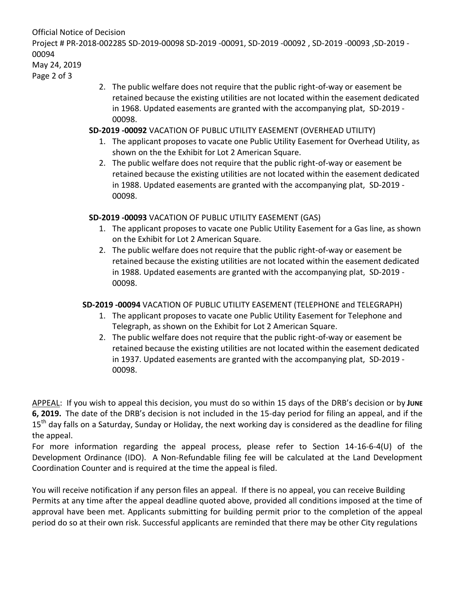Official Notice of Decision

Project # PR-2018-002285 SD-2019-00098 SD-2019 -00091, SD-2019 -00092 , SD-2019 -00093 ,SD-2019 - 00094

May 24, 2019

Page 2 of 3

2. The public welfare does not require that the public right-of-way or easement be retained because the existing utilities are not located within the easement dedicated in 1968. Updated easements are granted with the accompanying plat, SD-2019 - 00098.

### **SD-2019 -00092** VACATION OF PUBLIC UTILITY EASEMENT (OVERHEAD UTILITY)

- 1. The applicant proposes to vacate one Public Utility Easement for Overhead Utility, as shown on the the Exhibit for Lot 2 American Square.
- 2. The public welfare does not require that the public right-of-way or easement be retained because the existing utilities are not located within the easement dedicated in 1988. Updated easements are granted with the accompanying plat, SD-2019 - 00098.

### **SD-2019 -00093** VACATION OF PUBLIC UTILITY EASEMENT (GAS)

- 1. The applicant proposes to vacate one Public Utility Easement for a Gas line, as shown on the Exhibit for Lot 2 American Square.
- 2. The public welfare does not require that the public right-of-way or easement be retained because the existing utilities are not located within the easement dedicated in 1988. Updated easements are granted with the accompanying plat, SD-2019 - 00098.

# **SD-2019 -00094** VACATION OF PUBLIC UTILITY EASEMENT (TELEPHONE and TELEGRAPH)

- 1. The applicant proposes to vacate one Public Utility Easement for Telephone and Telegraph, as shown on the Exhibit for Lot 2 American Square.
- 2. The public welfare does not require that the public right-of-way or easement be retained because the existing utilities are not located within the easement dedicated in 1937. Updated easements are granted with the accompanying plat, SD-2019 - 00098.

APPEAL: If you wish to appeal this decision, you must do so within 15 days of the DRB's decision or by **JUNE 6, 2019.** The date of the DRB's decision is not included in the 15-day period for filing an appeal, and if the 15<sup>th</sup> day falls on a Saturday, Sunday or Holiday, the next working day is considered as the deadline for filing the appeal.

For more information regarding the appeal process, please refer to Section 14-16-6-4(U) of the Development Ordinance (IDO). A Non-Refundable filing fee will be calculated at the Land Development Coordination Counter and is required at the time the appeal is filed.

You will receive notification if any person files an appeal. If there is no appeal, you can receive Building Permits at any time after the appeal deadline quoted above, provided all conditions imposed at the time of approval have been met. Applicants submitting for building permit prior to the completion of the appeal period do so at their own risk. Successful applicants are reminded that there may be other City regulations